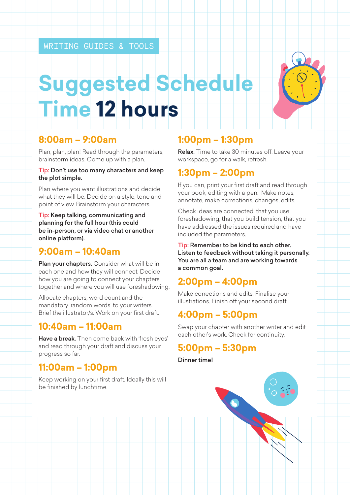# **Suggested Schedule Time 12 hours**

#### **8:00am – 9:00am**

Plan, plan, plan! Read through the parameters, brainstorm ideas. Come up with a plan.

Tip: Don't use too many characters and keep the plot simple.

Plan where you want illustrations and decide what they will be. Decide on a style, tone and point of view. Brainstorm your characters.

Tip: Keep talking, communicating and planning for the full hour (this could be in-person, or via video chat or another online platform).

#### **9:00am – 10:40am**

Plan your chapters. Consider what will be in each one and how they will connect. Decide how you are going to connect your chapters together and where you will use foreshadowing.

Allocate chapters, word count and the mandatory 'random words' to your writers. Brief the illustrator/s. Work on your first draft.

#### **10:40am – 11:00am**

Have a break. Then come back with 'fresh eyes' and read through your draft and discuss your progress so far.

# **11:00am – 1:00pm**

Keep working on your first draft. Ideally this will be finished by lunchtime.

# **1:00pm – 1:30pm**

Relax. Time to take 30 minutes off. Leave your workspace, go for a walk, refresh.

# **1:30pm – 2:00pm**

If you can, print your first draft and read through your book, editing with a pen. Make notes, annotate, make corrections, changes, edits.

Check ideas are connected, that you use foreshadowing, that you build tension, that you have addressed the issues required and have included the parameters.

Tip: Remember to be kind to each other. Listen to feedback without taking it personally. You are all a team and are working towards a common goal.

# **2:00pm – 4:00pm**

Make corrections and edits. Finalise your illustrations. Finish off your second draft.

#### **4:00pm – 5:00pm**

Swap your chapter with another writer and edit each other's work. Check for continuity.

# **5:00pm – 5:30pm**

Dinner time!